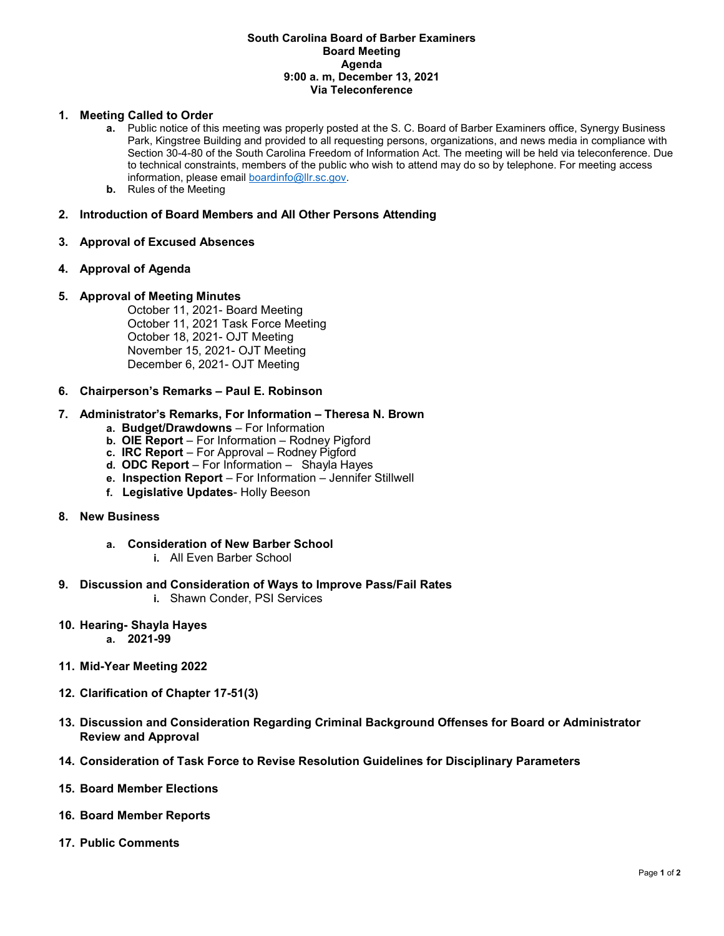#### **South Carolina Board of Barber Examiners Board Meeting Agenda 9:00 a. m, December 13, 2021 Via Teleconference**

#### **1. Meeting Called to Order**

- **a.** Public notice of this meeting was properly posted at the S. C. Board of Barber Examiners office, Synergy Business Park, Kingstree Building and provided to all requesting persons, organizations, and news media in compliance with Section 30-4-80 of the South Carolina Freedom of Information Act. The meeting will be held via teleconference. Due to technical constraints, members of the public who wish to attend may do so by telephone. For meeting access information, please emai[l boardinfo@llr.sc.gov.](mailto:boardinfo@llr.sc.gov)
- **b.** Rules of the Meeting

# **2. Introduction of Board Members and All Other Persons Attending**

## **3. Approval of Excused Absences**

## **4. Approval of Agenda**

## **5. Approval of Meeting Minutes**

October 11, 2021- Board Meeting October 11, 2021 Task Force Meeting October 18, 2021- OJT Meeting November 15, 2021- OJT Meeting December 6, 2021- OJT Meeting

**6. Chairperson's Remarks – Paul E. Robinson**

#### **7. Administrator's Remarks, For Information – Theresa N. Brown**

- **a. Budget/Drawdowns** For Information
- **b. OIE Report**  For Information Rodney Pigford
- **c. IRC Report**  For Approval Rodney Pigford
- **d. ODC Report**  For Information Shayla Hayes
- **e. Inspection Report** For Information Jennifer Stillwell
- **f. Legislative Updates** Holly Beeson

## **8. New Business**

- **a. Consideration of New Barber School**
	- **i.** All Even Barber School
- **9. Discussion and Consideration of Ways to Improve Pass/Fail Rates**
	- **i.** Shawn Conder, PSI Services
- **10. Hearing- Shayla Hayes a. 2021-99**
- **11. Mid-Year Meeting 2022**
- **12. Clarification of Chapter 17-51(3)**
- **13. Discussion and Consideration Regarding Criminal Background Offenses for Board or Administrator Review and Approval**
- **14. Consideration of Task Force to Revise Resolution Guidelines for Disciplinary Parameters**
- **15. Board Member Elections**
- **16. Board Member Reports**
- **17. Public Comments**